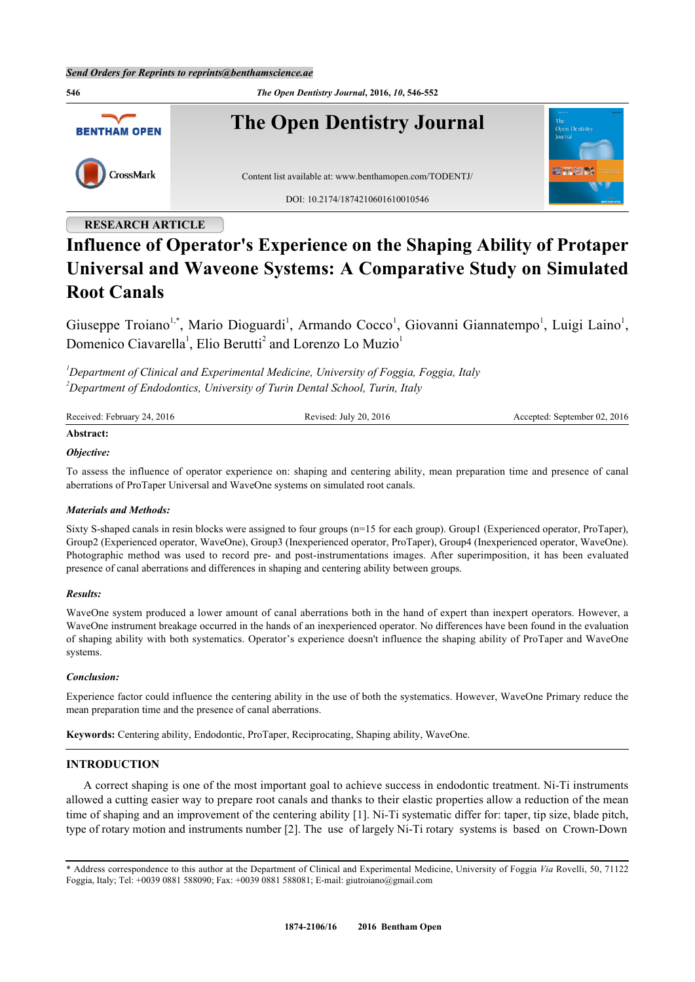

# **RESEARCH ARTICLE**

# **Influence of Operator's Experience on the Shaping Ability of Protaper Universal and Waveone Systems: A Comparative Study on Simulated Root Canals**

Giuseppe Troiano<sup>[1,](#page-0-0)[\\*](#page-0-1)</sup>, Mario Dioguardi<sup>[1](#page-0-0)</sup>, Armando Cocco<sup>1</sup>, Giovanni Giannatempo<sup>1</sup>, Luigi Laino<sup>1</sup>, Domenico Ciavarella<sup>[1](#page-0-0)</sup>, Elio Berutti<sup>[2](#page-0-2)</sup> and Lorenzo Lo Muzio<sup>1</sup>

<span id="page-0-2"></span><span id="page-0-0"></span>*<sup>1</sup>Department of Clinical and Experimental Medicine, University of Foggia, Foggia, Italy <sup>2</sup>Department of Endodontics, University of Turin Dental School, Turin, Italy*

| Received: February 24, 2016 | Revised: July 20, $2016$ | Accepted: September 02, 2016 |
|-----------------------------|--------------------------|------------------------------|
| Abstract:                   |                          |                              |

# *Objective:*

To assess the influence of operator experience on: shaping and centering ability, mean preparation time and presence of canal aberrations of ProTaper Universal and WaveOne systems on simulated root canals.

# *Materials and Methods:*

Sixty S-shaped canals in resin blocks were assigned to four groups (n=15 for each group). Group1 (Experienced operator, ProTaper), Group2 (Experienced operator, WaveOne), Group3 (Inexperienced operator, ProTaper), Group4 (Inexperienced operator, WaveOne). Photographic method was used to record pre- and post-instrumentations images. After superimposition, it has been evaluated presence of canal aberrations and differences in shaping and centering ability between groups.

# *Results:*

WaveOne system produced a lower amount of canal aberrations both in the hand of expert than inexpert operators. However, a WaveOne instrument breakage occurred in the hands of an inexperienced operator. No differences have been found in the evaluation of shaping ability with both systematics. Operator's experience doesn't influence the shaping ability of ProTaper and WaveOne systems.

# *Conclusion:*

Experience factor could influence the centering ability in the use of both the systematics. However, WaveOne Primary reduce the mean preparation time and the presence of canal aberrations.

**Keywords:** Centering ability, Endodontic, ProTaper, Reciprocating, Shaping ability, WaveOne.

# **INTRODUCTION**

A correct shaping is one of the most important goal to achieve success in endodontic treatment. Ni-Ti instruments allowed a cutting easier way to prepare root canals and thanks to their elastic properties allow a reduction of the mean time of shaping and an improvement of the centering ability [[1\]](#page-5-0). Ni-Ti systematic differ for: taper, tip size, blade pitch, type of rotary motion and instruments number [[2\]](#page-5-1). The use of largely Ni-Ti rotary systems is based on Crown-Down

<span id="page-0-1"></span><sup>\*</sup> Address correspondence to this author at the Department of Clinical and Experimental Medicine, University of Foggia *Via* Rovelli, 50, 71122 Foggia, Italy; Tel: +0039 0881 588090; Fax: +0039 0881 588081; E-mail: [giutroiano@gmail.com](mailto:giutroiano@gmail.com)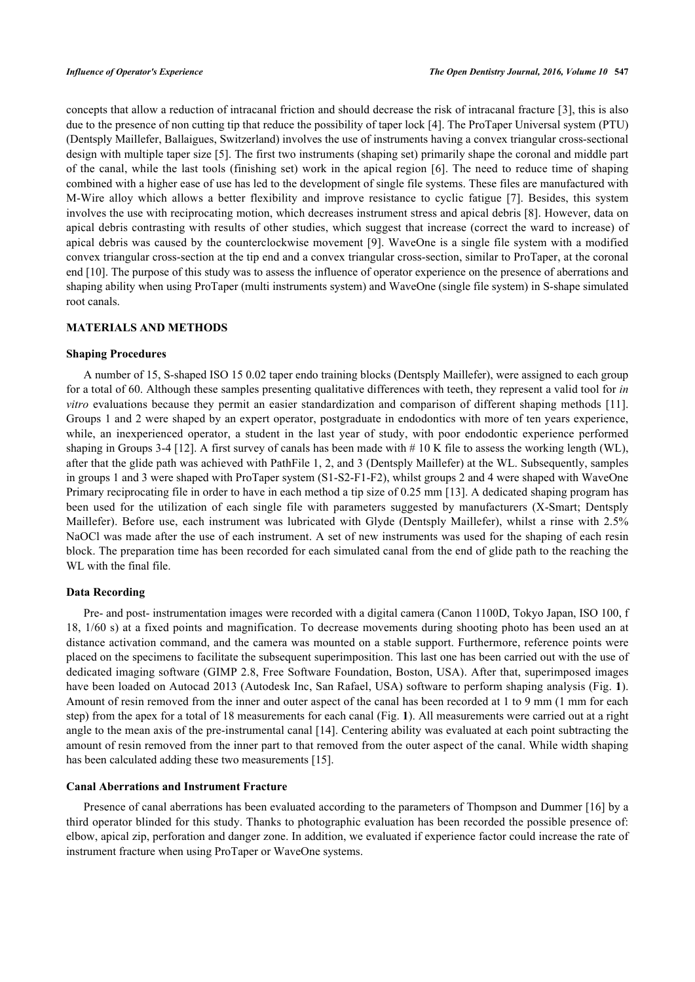concepts that allow a reduction of intracanal friction and should decrease the risk of intracanal fracture [[3\]](#page-5-2), this is also due to the presence of non cutting tip that reduce the possibility of taper lock [\[4](#page-5-3)]. The ProTaper Universal system (PTU) (Dentsply Maillefer, Ballaigues, Switzerland) involves the use of instruments having a convex triangular cross-sectional design with multiple taper size [\[5](#page-5-4)]. The first two instruments (shaping set) primarily shape the coronal and middle part of the canal, while the last tools (finishing set) work in the apical region [[6](#page-5-5)]. The need to reduce time of shaping combined with a higher ease of use has led to the development of single file systems. These files are manufactured with M-Wire alloy which allows a better flexibility and improve resistance to cyclic fatigue [\[7\]](#page-5-6). Besides, this system involves the use with reciprocating motion, which decreases instrument stress and apical debris [[8\]](#page-5-7). However, data on apical debris contrasting with results of other studies, which suggest that increase (correct the ward to increase) of apical debris was caused by the counterclockwise movement [\[9](#page-5-8)]. WaveOne is a single file system with a modified convex triangular cross-section at the tip end and a convex triangular cross-section, similar to ProTaper, at the coronal end [[10\]](#page-5-9). The purpose of this study was to assess the influence of operator experience on the presence of aberrations and shaping ability when using ProTaper (multi instruments system) and WaveOne (single file system) in S-shape simulated root canals.

# **MATERIALS AND METHODS**

#### **Shaping Procedures**

A number of 15, S-shaped ISO 15 0.02 taper endo training blocks (Dentsply Maillefer), were assigned to each group for a total of 60. Although these samples presenting qualitative differences with teeth, they represent a valid tool for *in vitro* evaluations because they permit an easier standardization and comparison of different shaping methods [\[11\]](#page-5-10). Groups 1 and 2 were shaped by an expert operator, postgraduate in endodontics with more of ten years experience, while, an inexperienced operator, a student in the last year of study, with poor endodontic experience performed shaping in Groups 3-4 [[12\]](#page-5-11). A first survey of canals has been made with # 10 K file to assess the working length (WL), after that the glide path was achieved with PathFile 1, 2, and 3 (Dentsply Maillefer) at the WL. Subsequently, samples in groups 1 and 3 were shaped with ProTaper system (S1-S2-F1-F2), whilst groups 2 and 4 were shaped with WaveOne Primary reciprocating file in order to have in each method a tip size of 0.25 mm [[13](#page-5-12)]. A dedicated shaping program has been used for the utilization of each single file with parameters suggested by manufacturers (X-Smart; Dentsply Maillefer). Before use, each instrument was lubricated with Glyde (Dentsply Maillefer), whilst a rinse with 2.5% NaOCl was made after the use of each instrument. A set of new instruments was used for the shaping of each resin block. The preparation time has been recorded for each simulated canal from the end of glide path to the reaching the WL with the final file.

# **Data Recording**

Pre- and post- instrumentation images were recorded with a digital camera (Canon 1100D, Tokyo Japan, ISO 100, f 18, 1/60 s) at a fixed points and magnification. To decrease movements during shooting photo has been used an at distance activation command, and the camera was mounted on a stable support. Furthermore, reference points were placed on the specimens to facilitate the subsequent superimposition. This last one has been carried out with the use of dedicated imaging software (GIMP 2.8, Free Software Foundation, Boston, USA). After that, superimposed images have been loaded on Autocad 2013 (Autodesk Inc, San Rafael, USA) software to perform shaping analysis (Fig. **[1](#page-1-0)**). Amount of resin removed from the inner and outer aspect of the canal has been recorded at 1 to 9 mm (1 mm for each step) from the apex for a total of 18 measurements for each canal (Fig. **[1](#page-1-0)**). All measurements were carried out at a right angle to the mean axis of the pre-instrumental canal [[14\]](#page-5-13). Centering ability was evaluated at each point subtracting the amount of resin removed from the inner part to that removed from the outer aspect of the canal. While width shaping has been calculated adding these two measurements [\[15](#page-5-14)].

# **Canal Aberrations and Instrument Fracture**

<span id="page-1-0"></span>Presence of canal aberrations has been evaluated according to the parameters of Thompson and Dummer [\[16](#page-5-15)] by a third operator blinded for this study. Thanks to photographic evaluation has been recorded the possible presence of: elbow, apical zip, perforation and danger zone. In addition, we evaluated if experience factor could increase the rate of instrument fracture when using ProTaper or WaveOne systems.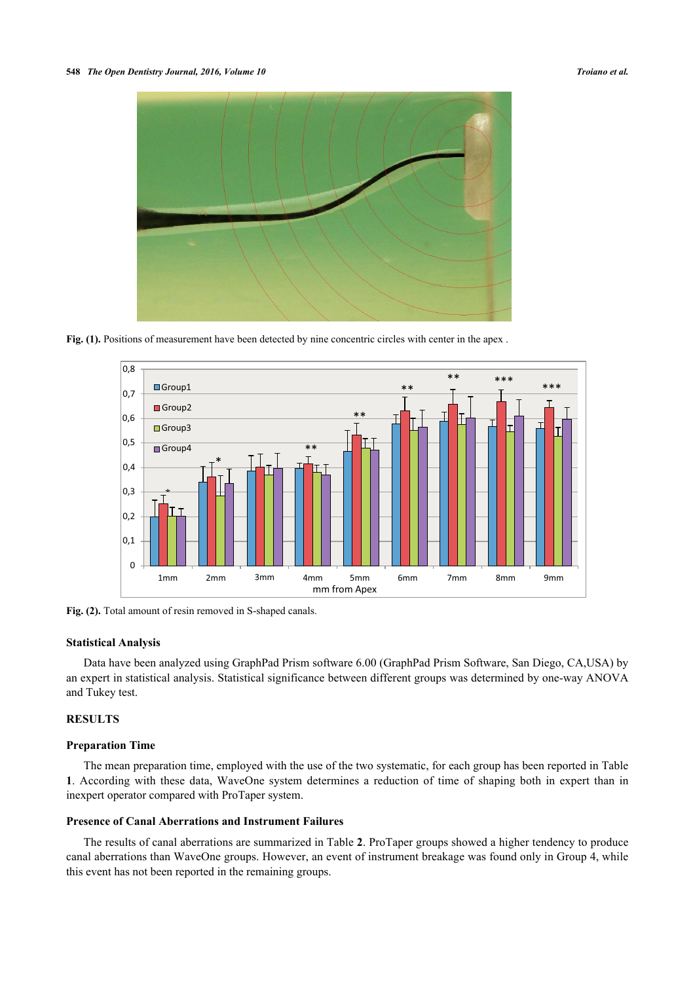

**Fig. (1).** Positions of measurement have been detected by nine concentric circles with center in the apex.

<span id="page-2-1"></span>

Fig. (2). Total amount of resin removed in S-shaped canals.

#### **Statistical Analysis**

Data have been analyzed using GraphPad Prism software 6.00 (GraphPad Prism Software, San Diego, CA,USA) by an expert in statistical analysis. Statistical significance between different groups was determined by one-way ANOVA and Tukey test.

# **RESULTS**

#### **Preparation Time**

The mean preparation time, employed with the use of the two systematic, for each group has been reported in Table **[1](#page-2-0)**. According with these data, WaveOne system determines a reduction of time of shaping both in expert than in inexpert operator compared with ProTaper system.

# **Presence of Canal Aberrations and Instrument Failures**

<span id="page-2-0"></span>The results of canal aberrations are summarized in Table **[2](#page-3-0)**. ProTaper groups showed a higher tendency to produce canal aberrations than WaveOne groups. However, an event of instrument breakage was found only in Group 4, while this event has not been reported in the remaining groups.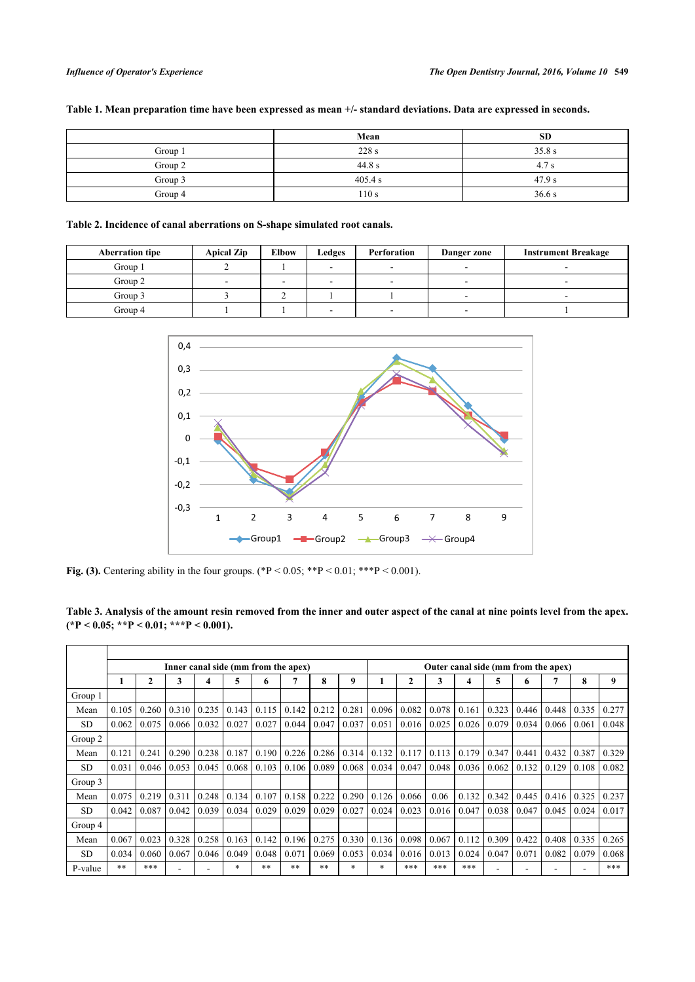| Table 1. Mean preparation time have been expressed as mean +/- standard deviations. Data are expressed in seconds. |  |  |  |  |  |  |  |
|--------------------------------------------------------------------------------------------------------------------|--|--|--|--|--|--|--|
|--------------------------------------------------------------------------------------------------------------------|--|--|--|--|--|--|--|

|         | Mean    | <b>SD</b> |
|---------|---------|-----------|
| Group 1 | 228 s   | 35.8 s    |
| Group 2 | 44.8 s  | 4.7 s     |
| Group 3 | 405.4 s | 47.9 s    |
| Group 4 | 110s    | 36.6s     |

<span id="page-3-0"></span>**Table 2. Incidence of canal aberrations on S-shape simulated root canals.**

<span id="page-3-2"></span>

| <b>Aberration tipe</b> | <b>Apical Zip</b> | <b>Elbow</b> | Ledges | Perforation              | Danger zone | <b>Instrument Breakage</b> |  |  |
|------------------------|-------------------|--------------|--------|--------------------------|-------------|----------------------------|--|--|
| Group 1                |                   |              |        |                          |             |                            |  |  |
| Group 2                | -                 | -            |        | $\sim$                   | -           |                            |  |  |
| Group 3                |                   |              |        |                          | -           |                            |  |  |
| Group 4                |                   |              |        | $\overline{\phantom{a}}$ | -           |                            |  |  |



**Fig. (3).** Centering ability in the four groups.  $(*P < 0.05; **P < 0.01; **P < 0.001)$ .

<span id="page-3-1"></span>**Table 3. Analysis of the amount resin removed from the inner and outer aspect of the canal at nine points level from the apex. (\*P < 0.05; \*\*P < 0.01; \*\*\*P < 0.001).**

|           | Inner canal side (mm from the apex) |              |       |       |        |       |       |       |        | Outer canal side (mm from the apex) |              |       |       |       |       |       |       |       |
|-----------|-------------------------------------|--------------|-------|-------|--------|-------|-------|-------|--------|-------------------------------------|--------------|-------|-------|-------|-------|-------|-------|-------|
|           |                                     | $\mathbf{2}$ | 3     | 4     | 5      | 6     | 7     | 8     | 9      |                                     | $\mathbf{2}$ | 3     | 4     | 5     | 6     | 7     | 8     | 9     |
| Group 1   |                                     |              |       |       |        |       |       |       |        |                                     |              |       |       |       |       |       |       |       |
| Mean      | 0.105                               | 0.260        | 0.310 | 0.235 | 0.143  | 0.115 | 0.142 | 0.212 | 0.281  | 0.096                               | 0.082        | 0.078 | 0.161 | 0.323 | 0.446 | 0.448 | 0.335 | 0.277 |
| SD.       | 0.062                               | 0.075        | 0.066 | 0.032 | 0.027  | 0.027 | 0.044 | 0.047 | 0.037  | 0.051                               | 0.016        | 0.025 | 0.026 | 0.079 | 0.034 | 0.066 | 0.061 | 0.048 |
| Group 2   |                                     |              |       |       |        |       |       |       |        |                                     |              |       |       |       |       |       |       |       |
| Mean      | 0.121                               | 0.241        | 0.290 | 0.238 | 0.187  | 0.190 | 0.226 | 0.286 | 0.314  | 0.132                               | 0.117        | 0.113 | 0.179 | 0.347 | 0.441 | 0.432 | 0.387 | 0.329 |
| <b>SD</b> | 0.031                               | 0.046        | 0.053 | 0.045 | 0.068  | 0.103 | 0.106 | 0.089 | 0.068  | 0.034                               | 0.047        | 0.048 | 0.036 | 0.062 | 0.132 | 0.129 | 0.108 | 0.082 |
| Group 3   |                                     |              |       |       |        |       |       |       |        |                                     |              |       |       |       |       |       |       |       |
| Mean      | 0.075                               | 0.219        | 0.311 | 0.248 | 0.134  | 0.107 | 0.158 | 0.222 | 0.290  | 0.126                               | 0.066        | 0.06  | 0.132 | 0.342 | 0.445 | 0.416 | 0.325 | 0.237 |
| SD.       | 0.042                               | 0.087        | 0.042 | 0.039 | 0.034  | 0.029 | 0.029 | 0.029 | 0.027  | 0.024                               | 0.023        | 0.016 | 0.047 | 0.038 | 0.047 | 0.045 | 0.024 | 0.017 |
| Group 4   |                                     |              |       |       |        |       |       |       |        |                                     |              |       |       |       |       |       |       |       |
| Mean      | 0.067                               | 0.023        | 0.328 | 0.258 | 0.163  | 0.142 | 0.196 | 0.275 | 0.330  | 0.136                               | 0.098        | 0.067 | 0.112 | 0.309 | 0.422 | 0.408 | 0.335 | 0.265 |
| <b>SD</b> | 0.034                               | 0.060        | 0.067 | 0.046 | 0.049  | 0.048 | 0.071 | 0.069 | 0.053  | 0.034                               | 0.016        | 0.013 | 0.024 | 0.047 | 0.071 | 0.082 | 0.079 | 0.068 |
| P-value   | $**$                                | ***          |       |       | $\ast$ | $***$ | **    | $**$  | $\ast$ | *                                   | ***          | ***   | ***   |       |       |       |       | ***   |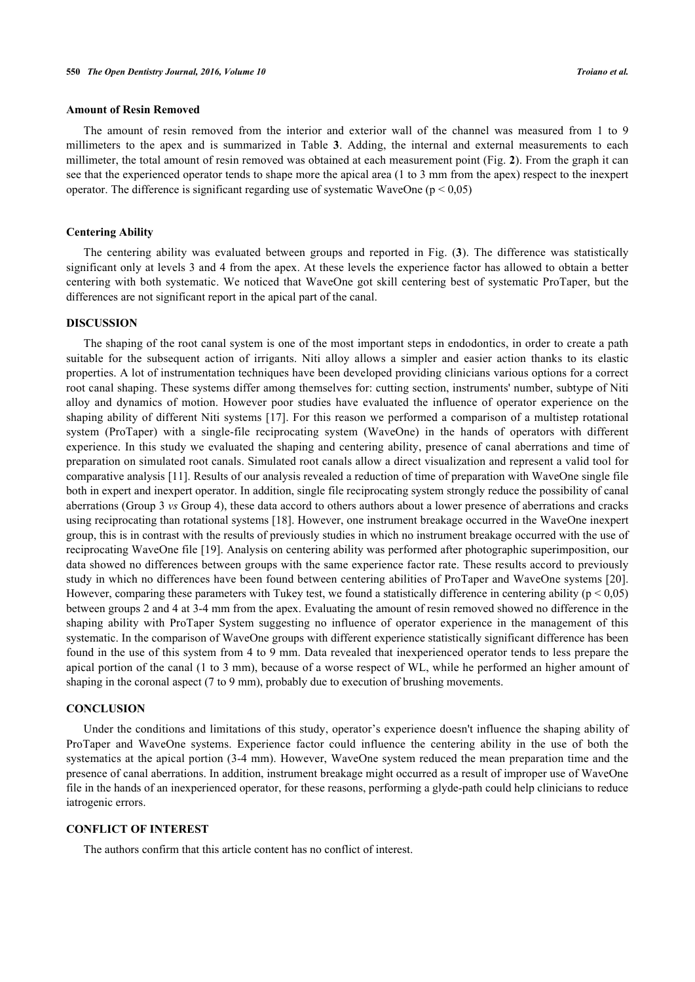# **Amount of Resin Removed**

The amount of resin removed from the interior and exterior wall of the channel was measured from 1 to 9 millimeters to the apex and is summarized in Table**3**. Adding, the internal and external measurements to each millimeter, the total amount of resin removed was obtained at each measurement point (Fig. **[2](#page-2-1)**). From the graph it can see that the experienced operator tends to shape more the apical area (1 to 3 mm from the apex) respect to the inexpert operator. The difference is significant regarding use of systematic WaveOne ( $p < 0.05$ )

# **Centering Ability**

The centering ability was evaluated between groups and reported in Fig. (**[3](#page-3-2)**). The difference was statistically significant only at levels 3 and 4 from the apex. At these levels the experience factor has allowed to obtain a better centering with both systematic. We noticed that WaveOne got skill centering best of systematic ProTaper, but the differences are not significant report in the apical part of the canal.

### **DISCUSSION**

The shaping of the root canal system is one of the most important steps in endodontics, in order to create a path suitable for the subsequent action of irrigants. Niti alloy allows a simpler and easier action thanks to its elastic properties. A lot of instrumentation techniques have been developed providing clinicians various options for a correct root canal shaping. These systems differ among themselves for: cutting section, instruments' number, subtype of Niti alloy and dynamics of motion. However poor studies have evaluated the influence of operator experience on the shaping ability of different Niti systems [\[17](#page-5-16)]. For this reason we performed a comparison of a multistep rotational system (ProTaper) with a single-file reciprocating system (WaveOne) in the hands of operators with different experience. In this study we evaluated the shaping and centering ability, presence of canal aberrations and time of preparation on simulated root canals. Simulated root canals allow a direct visualization and represent a valid tool for comparative analysis [\[11](#page-5-10)]. Results of our analysis revealed a reduction of time of preparation with WaveOne single file both in expert and inexpert operator. In addition, single file reciprocating system strongly reduce the possibility of canal aberrations (Group 3 *vs* Group 4), these data accord to others authors about a lower presence of aberrations and cracks using reciprocating than rotational systems [\[18](#page-5-17)]. However, one instrument breakage occurred in the WaveOne inexpert group, this is in contrast with the results of previously studies in which no instrument breakage occurred with the use of reciprocating WaveOne file [\[19\]](#page-5-18). Analysis on centering ability was performed after photographic superimposition, our data showed no differences between groups with the same experience factor rate. These results accord to previously study in which no differences have been found between centering abilities of ProTaper and WaveOne systems [\[20\]](#page-6-0). However, comparing these parameters with Tukey test, we found a statistically difference in centering ability ( $p < 0.05$ ) between groups 2 and 4 at 3-4 mm from the apex. Evaluating the amount of resin removed showed no difference in the shaping ability with ProTaper System suggesting no influence of operator experience in the management of this systematic. In the comparison of WaveOne groups with different experience statistically significant difference has been found in the use of this system from 4 to 9 mm. Data revealed that inexperienced operator tends to less prepare the apical portion of the canal (1 to 3 mm), because of a worse respect of WL, while he performed an higher amount of shaping in the coronal aspect (7 to 9 mm), probably due to execution of brushing movements.

# **CONCLUSION**

Under the conditions and limitations of this study, operator's experience doesn't influence the shaping ability of ProTaper and WaveOne systems. Experience factor could influence the centering ability in the use of both the systematics at the apical portion (3-4 mm). However, WaveOne system reduced the mean preparation time and the presence of canal aberrations. In addition, instrument breakage might occurred as a result of improper use of WaveOne file in the hands of an inexperienced operator, for these reasons, performing a glyde-path could help clinicians to reduce iatrogenic errors.

#### **CONFLICT OF INTEREST**

The authors confirm that this article content has no conflict of interest.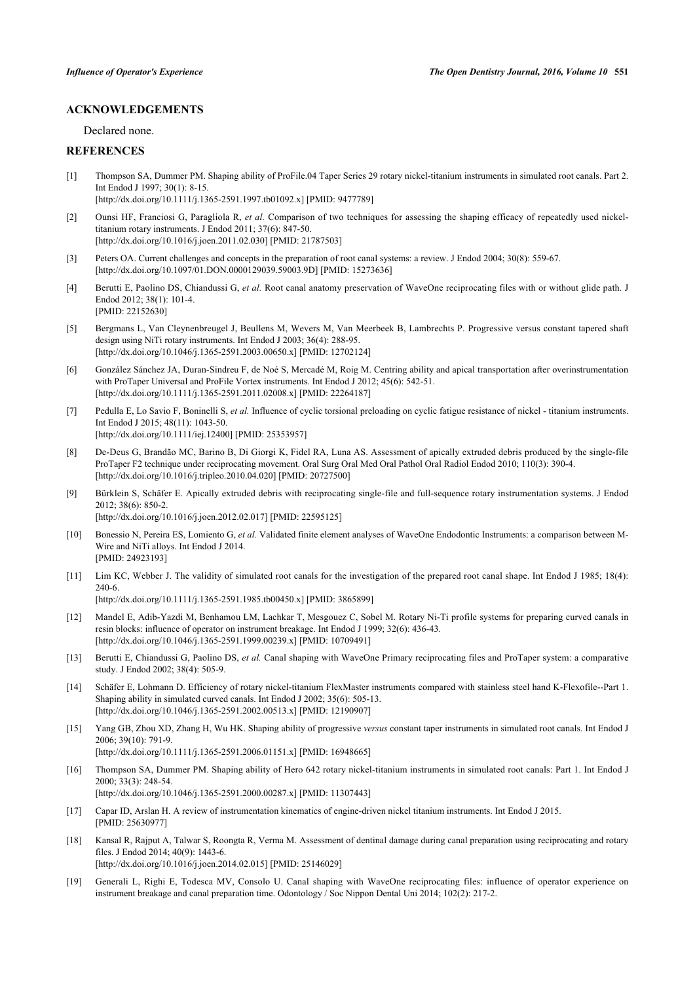# **ACKNOWLEDGEMENTS**

Declared none.

# **REFERENCES**

- <span id="page-5-0"></span>[1] Thompson SA, Dummer PM. Shaping ability of ProFile.04 Taper Series 29 rotary nickel-titanium instruments in simulated root canals. Part 2. Int Endod J 1997; 30(1): 8-15. [\[http://dx.doi.org/10.1111/j.1365-2591.1997.tb01092.x\]](http://dx.doi.org/10.1111/j.1365-2591.1997.tb01092.x) [PMID: [9477789](http://www.ncbi.nlm.nih.gov/pubmed/9477789)]
- <span id="page-5-1"></span>[2] Ounsi HF, Franciosi G, Paragliola R, *et al.* Comparison of two techniques for assessing the shaping efficacy of repeatedly used nickeltitanium rotary instruments. J Endod 2011; 37(6): 847-50. [\[http://dx.doi.org/10.1016/j.joen.2011.02.030\]](http://dx.doi.org/10.1016/j.joen.2011.02.030) [PMID: [21787503](http://www.ncbi.nlm.nih.gov/pubmed/21787503)]
- <span id="page-5-2"></span>[3] Peters OA. Current challenges and concepts in the preparation of root canal systems: a review. J Endod 2004; 30(8): 559-67. [\[http://dx.doi.org/10.1097/01.DON.0000129039.59003.9D\]](http://dx.doi.org/10.1097/01.DON.0000129039.59003.9D) [PMID: [15273636](http://www.ncbi.nlm.nih.gov/pubmed/15273636)]
- <span id="page-5-3"></span>[4] Berutti E, Paolino DS, Chiandussi G, *et al.* Root canal anatomy preservation of WaveOne reciprocating files with or without glide path. J Endod 2012; 38(1): 101-4. [PMID: [22152630\]](http://www.ncbi.nlm.nih.gov/pubmed/22152630)
- <span id="page-5-4"></span>[5] Bergmans L, Van Cleynenbreugel J, Beullens M, Wevers M, Van Meerbeek B, Lambrechts P. Progressive versus constant tapered shaft design using NiTi rotary instruments. Int Endod J 2003; 36(4): 288-95. [\[http://dx.doi.org/10.1046/j.1365-2591.2003.00650.x\]](http://dx.doi.org/10.1046/j.1365-2591.2003.00650.x) [PMID: [12702124](http://www.ncbi.nlm.nih.gov/pubmed/12702124)]
- <span id="page-5-5"></span>[6] González Sánchez JA, Duran-Sindreu F, de Noé S, Mercadé M, Roig M. Centring ability and apical transportation after overinstrumentation with ProTaper Universal and ProFile Vortex instruments. Int Endod J 2012; 45(6): 542-51. [\[http://dx.doi.org/10.1111/j.1365-2591.2011.02008.x\]](http://dx.doi.org/10.1111/j.1365-2591.2011.02008.x) [PMID: [22264187](http://www.ncbi.nlm.nih.gov/pubmed/22264187)]
- <span id="page-5-6"></span>[7] Pedulla E, Lo Savio F, Boninelli S, *et al.* Influence of cyclic torsional preloading on cyclic fatigue resistance of nickel - titanium instruments. Int Endod J 2015; 48(11): 1043-50. [\[http://dx.doi.org/10.1111/iej.12400\]](http://dx.doi.org/10.1111/iej.12400) [PMID: [25353957](http://www.ncbi.nlm.nih.gov/pubmed/25353957)]
- <span id="page-5-7"></span>[8] De-Deus G, Brandão MC, Barino B, Di Giorgi K, Fidel RA, Luna AS. Assessment of apically extruded debris produced by the single-file ProTaper F2 technique under reciprocating movement. Oral Surg Oral Med Oral Pathol Oral Radiol Endod 2010; 110(3): 390-4. [\[http://dx.doi.org/10.1016/j.tripleo.2010.04.020\]](http://dx.doi.org/10.1016/j.tripleo.2010.04.020) [PMID: [20727500](http://www.ncbi.nlm.nih.gov/pubmed/20727500)]
- <span id="page-5-8"></span>[9] Bürklein S, Schäfer E. Apically extruded debris with reciprocating single-file and full-sequence rotary instrumentation systems. J Endod 2012; 38(6): 850-2.
	- [\[http://dx.doi.org/10.1016/j.joen.2012.02.017\]](http://dx.doi.org/10.1016/j.joen.2012.02.017) [PMID: [22595125](http://www.ncbi.nlm.nih.gov/pubmed/22595125)]
- <span id="page-5-9"></span>[10] Bonessio N, Pereira ES, Lomiento G, *et al.* Validated finite element analyses of WaveOne Endodontic Instruments: a comparison between M-Wire and NiTi alloys. Int Endod J 2014. [PMID: [24923193\]](http://www.ncbi.nlm.nih.gov/pubmed/24923193)
- <span id="page-5-10"></span>[11] Lim KC, Webber J. The validity of simulated root canals for the investigation of the prepared root canal shape. Int Endod J 1985; 18(4): 240-6.

[\[http://dx.doi.org/10.1111/j.1365-2591.1985.tb00450.x\]](http://dx.doi.org/10.1111/j.1365-2591.1985.tb00450.x) [PMID: [3865899](http://www.ncbi.nlm.nih.gov/pubmed/3865899)]

- <span id="page-5-11"></span>[12] Mandel E, Adib-Yazdi M, Benhamou LM, Lachkar T, Mesgouez C, Sobel M. Rotary Ni-Ti profile systems for preparing curved canals in resin blocks: influence of operator on instrument breakage. Int Endod J 1999; 32(6): 436-43. [\[http://dx.doi.org/10.1046/j.1365-2591.1999.00239.x\]](http://dx.doi.org/10.1046/j.1365-2591.1999.00239.x) [PMID: [10709491](http://www.ncbi.nlm.nih.gov/pubmed/10709491)]
- <span id="page-5-12"></span>[13] Berutti E, Chiandussi G, Paolino DS, *et al.* Canal shaping with WaveOne Primary reciprocating files and ProTaper system: a comparative study. J Endod 2002; 38(4): 505-9.
- <span id="page-5-13"></span>[14] Schäfer E, Lohmann D. Efficiency of rotary nickel-titanium FlexMaster instruments compared with stainless steel hand K-Flexofile--Part 1. Shaping ability in simulated curved canals. Int Endod J 2002; 35(6): 505-13. [\[http://dx.doi.org/10.1046/j.1365-2591.2002.00513.x\]](http://dx.doi.org/10.1046/j.1365-2591.2002.00513.x) [PMID: [12190907](http://www.ncbi.nlm.nih.gov/pubmed/12190907)]
- <span id="page-5-14"></span>[15] Yang GB, Zhou XD, Zhang H, Wu HK. Shaping ability of progressive *versus* constant taper instruments in simulated root canals. Int Endod J 2006; 39(10): 791-9. [\[http://dx.doi.org/10.1111/j.1365-2591.2006.01151.x\]](http://dx.doi.org/10.1111/j.1365-2591.2006.01151.x) [PMID: [16948665](http://www.ncbi.nlm.nih.gov/pubmed/16948665)]
- <span id="page-5-15"></span>[16] Thompson SA, Dummer PM. Shaping ability of Hero 642 rotary nickel-titanium instruments in simulated root canals: Part 1. Int Endod J 2000; 33(3): 248-54. [\[http://dx.doi.org/10.1046/j.1365-2591.2000.00287.x\]](http://dx.doi.org/10.1046/j.1365-2591.2000.00287.x) [PMID: [11307443](http://www.ncbi.nlm.nih.gov/pubmed/11307443)]
- <span id="page-5-16"></span>[17] Capar ID, Arslan H. A review of instrumentation kinematics of engine-driven nickel titanium instruments. Int Endod J 2015. [PMID: [25630977\]](http://www.ncbi.nlm.nih.gov/pubmed/25630977)
- <span id="page-5-17"></span>[18] Kansal R, Rajput A, Talwar S, Roongta R, Verma M. Assessment of dentinal damage during canal preparation using reciprocating and rotary files. J Endod 2014; 40(9): 1443-6. [\[http://dx.doi.org/10.1016/j.joen.2014.02.015\]](http://dx.doi.org/10.1016/j.joen.2014.02.015) [PMID: [25146029](http://www.ncbi.nlm.nih.gov/pubmed/25146029)]
- <span id="page-5-18"></span>[19] Generali L, Righi E, Todesca MV, Consolo U. Canal shaping with WaveOne reciprocating files: influence of operator experience on instrument breakage and canal preparation time. Odontology / Soc Nippon Dental Uni 2014; 102(2): 217-2.